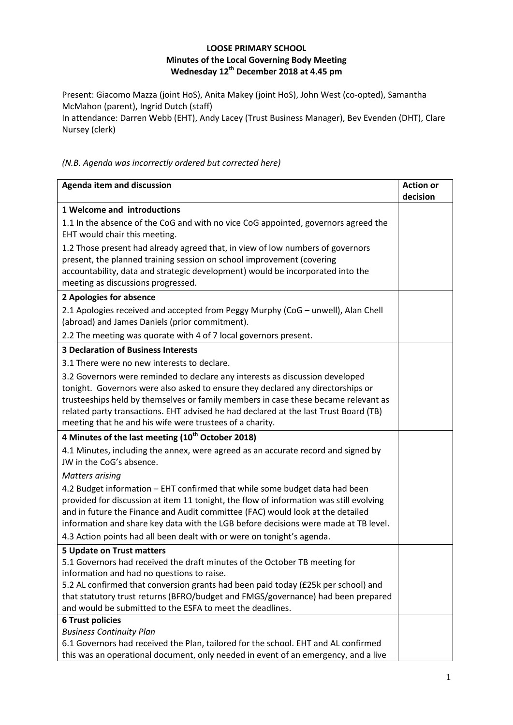## **LOOSE PRIMARY SCHOOL Minutes of the Local Governing Body Meeting Wednesday 12 th December 2018 at 4.45 pm**

Present: Giacomo Mazza (joint HoS), Anita Makey (joint HoS), John West (co-opted), Samantha McMahon (parent), Ingrid Dutch (staff)

In attendance: Darren Webb (EHT), Andy Lacey (Trust Business Manager), Bev Evenden (DHT), Clare Nursey (clerk)

### *(N.B. Agenda was incorrectly ordered but corrected here)*

| <b>Agenda item and discussion</b>                                                                                                                                                                                                                                                                                                                                                                         | <b>Action or</b><br>decision |
|-----------------------------------------------------------------------------------------------------------------------------------------------------------------------------------------------------------------------------------------------------------------------------------------------------------------------------------------------------------------------------------------------------------|------------------------------|
| 1 Welcome and introductions                                                                                                                                                                                                                                                                                                                                                                               |                              |
| 1.1 In the absence of the CoG and with no vice CoG appointed, governors agreed the<br>EHT would chair this meeting.                                                                                                                                                                                                                                                                                       |                              |
| 1.2 Those present had already agreed that, in view of low numbers of governors<br>present, the planned training session on school improvement (covering<br>accountability, data and strategic development) would be incorporated into the<br>meeting as discussions progressed.                                                                                                                           |                              |
| 2 Apologies for absence                                                                                                                                                                                                                                                                                                                                                                                   |                              |
| 2.1 Apologies received and accepted from Peggy Murphy (CoG - unwell), Alan Chell<br>(abroad) and James Daniels (prior commitment).                                                                                                                                                                                                                                                                        |                              |
| 2.2 The meeting was quorate with 4 of 7 local governors present.                                                                                                                                                                                                                                                                                                                                          |                              |
| <b>3 Declaration of Business Interests</b>                                                                                                                                                                                                                                                                                                                                                                |                              |
| 3.1 There were no new interests to declare.                                                                                                                                                                                                                                                                                                                                                               |                              |
| 3.2 Governors were reminded to declare any interests as discussion developed<br>tonight. Governors were also asked to ensure they declared any directorships or<br>trusteeships held by themselves or family members in case these became relevant as<br>related party transactions. EHT advised he had declared at the last Trust Board (TB)<br>meeting that he and his wife were trustees of a charity. |                              |
| 4 Minutes of the last meeting (10 <sup>th</sup> October 2018)                                                                                                                                                                                                                                                                                                                                             |                              |
| 4.1 Minutes, including the annex, were agreed as an accurate record and signed by<br>JW in the CoG's absence.                                                                                                                                                                                                                                                                                             |                              |
| <b>Matters arising</b>                                                                                                                                                                                                                                                                                                                                                                                    |                              |
| 4.2 Budget information - EHT confirmed that while some budget data had been<br>provided for discussion at item 11 tonight, the flow of information was still evolving<br>and in future the Finance and Audit committee (FAC) would look at the detailed<br>information and share key data with the LGB before decisions were made at TB level.                                                            |                              |
| 4.3 Action points had all been dealt with or were on tonight's agenda.                                                                                                                                                                                                                                                                                                                                    |                              |
| <b>5 Update on Trust matters</b>                                                                                                                                                                                                                                                                                                                                                                          |                              |
| 5.1 Governors had received the draft minutes of the October TB meeting for                                                                                                                                                                                                                                                                                                                                |                              |
| information and had no questions to raise.<br>5.2 AL confirmed that conversion grants had been paid today (£25k per school) and                                                                                                                                                                                                                                                                           |                              |
| that statutory trust returns (BFRO/budget and FMGS/governance) had been prepared                                                                                                                                                                                                                                                                                                                          |                              |
| and would be submitted to the ESFA to meet the deadlines.                                                                                                                                                                                                                                                                                                                                                 |                              |
| <b>6 Trust policies</b>                                                                                                                                                                                                                                                                                                                                                                                   |                              |
| <b>Business Continuity Plan</b>                                                                                                                                                                                                                                                                                                                                                                           |                              |
| 6.1 Governors had received the Plan, tailored for the school. EHT and AL confirmed                                                                                                                                                                                                                                                                                                                        |                              |
| this was an operational document, only needed in event of an emergency, and a live                                                                                                                                                                                                                                                                                                                        |                              |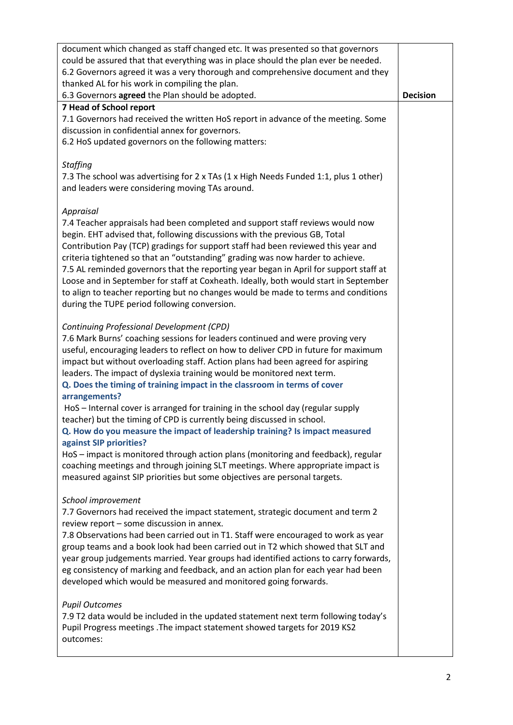| document which changed as staff changed etc. It was presented so that governors<br>could be assured that that everything was in place should the plan ever be needed.<br>6.2 Governors agreed it was a very thorough and comprehensive document and they<br>thanked AL for his work in compiling the plan.<br>6.3 Governors agreed the Plan should be adopted.                                                                                                                                                                                                                                                                                                                                                                                                                                                                                                                                                            | <b>Decision</b> |
|---------------------------------------------------------------------------------------------------------------------------------------------------------------------------------------------------------------------------------------------------------------------------------------------------------------------------------------------------------------------------------------------------------------------------------------------------------------------------------------------------------------------------------------------------------------------------------------------------------------------------------------------------------------------------------------------------------------------------------------------------------------------------------------------------------------------------------------------------------------------------------------------------------------------------|-----------------|
| 7 Head of School report<br>7.1 Governors had received the written HoS report in advance of the meeting. Some<br>discussion in confidential annex for governors.<br>6.2 HoS updated governors on the following matters:                                                                                                                                                                                                                                                                                                                                                                                                                                                                                                                                                                                                                                                                                                    |                 |
| <b>Staffing</b><br>7.3 The school was advertising for 2 x TAs (1 x High Needs Funded 1:1, plus 1 other)<br>and leaders were considering moving TAs around.                                                                                                                                                                                                                                                                                                                                                                                                                                                                                                                                                                                                                                                                                                                                                                |                 |
| Appraisal<br>7.4 Teacher appraisals had been completed and support staff reviews would now<br>begin. EHT advised that, following discussions with the previous GB, Total<br>Contribution Pay (TCP) gradings for support staff had been reviewed this year and<br>criteria tightened so that an "outstanding" grading was now harder to achieve.<br>7.5 AL reminded governors that the reporting year began in April for support staff at<br>Loose and in September for staff at Coxheath. Ideally, both would start in September<br>to align to teacher reporting but no changes would be made to terms and conditions<br>during the TUPE period following conversion.                                                                                                                                                                                                                                                    |                 |
| Continuing Professional Development (CPD)<br>7.6 Mark Burns' coaching sessions for leaders continued and were proving very<br>useful, encouraging leaders to reflect on how to deliver CPD in future for maximum<br>impact but without overloading staff. Action plans had been agreed for aspiring<br>leaders. The impact of dyslexia training would be monitored next term.<br>Q. Does the timing of training impact in the classroom in terms of cover<br>arrangements?<br>HoS - Internal cover is arranged for training in the school day (regular supply<br>teacher) but the timing of CPD is currently being discussed in school.<br>Q. How do you measure the impact of leadership training? Is impact measured<br>against SIP priorities?<br>HoS - impact is monitored through action plans (monitoring and feedback), regular<br>coaching meetings and through joining SLT meetings. Where appropriate impact is |                 |
| measured against SIP priorities but some objectives are personal targets.<br>School improvement<br>7.7 Governors had received the impact statement, strategic document and term 2<br>review report - some discussion in annex.<br>7.8 Observations had been carried out in T1. Staff were encouraged to work as year<br>group teams and a book look had been carried out in T2 which showed that SLT and<br>year group judgements married. Year groups had identified actions to carry forwards,<br>eg consistency of marking and feedback, and an action plan for each year had been<br>developed which would be measured and monitored going forwards.                                                                                                                                                                                                                                                                  |                 |
| <b>Pupil Outcomes</b><br>7.9 T2 data would be included in the updated statement next term following today's<br>Pupil Progress meetings . The impact statement showed targets for 2019 KS2<br>outcomes:                                                                                                                                                                                                                                                                                                                                                                                                                                                                                                                                                                                                                                                                                                                    |                 |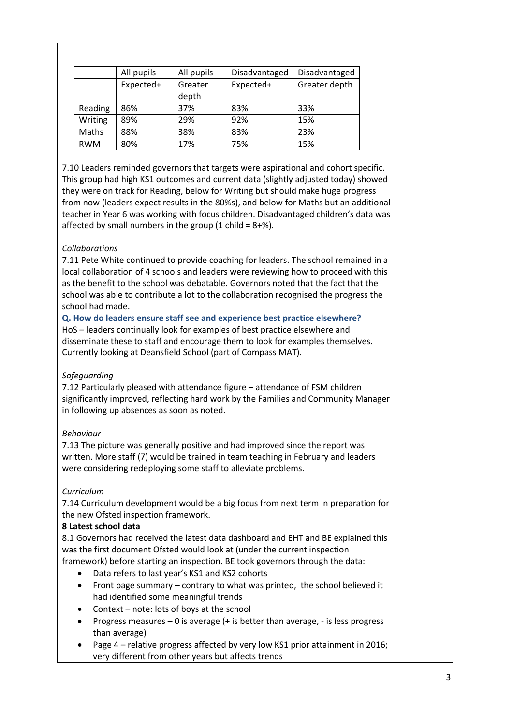|            | All pupils | All pupils       | Disadvantaged | Disadvantaged |
|------------|------------|------------------|---------------|---------------|
|            | Expected+  | Greater<br>depth | Expected+     | Greater depth |
| Reading    | 86%        | 37%              | 83%           | 33%           |
| Writing    | 89%        | 29%              | 92%           | 15%           |
| Maths      | 88%        | 38%              | 83%           | 23%           |
| <b>RWM</b> | 80%        | 17%              | 75%           | 15%           |

7.10 Leaders reminded governors that targets were aspirational and cohort specific. This group had high KS1 outcomes and current data (slightly adjusted today) showed they were on track for Reading, below for Writing but should make huge progress from now (leaders expect results in the 80%s), and below for Maths but an additional teacher in Year 6 was working with focus children. Disadvantaged children's data was affected by small numbers in the group  $(1 \text{ child} = 8 + \%)$ .

# *Collaborations*

7.11 Pete White continued to provide coaching for leaders. The school remained in a local collaboration of 4 schools and leaders were reviewing how to proceed with this as the benefit to the school was debatable. Governors noted that the fact that the school was able to contribute a lot to the collaboration recognised the progress the school had made.

**Q. How do leaders ensure staff see and experience best practice elsewhere?** HoS – leaders continually look for examples of best practice elsewhere and disseminate these to staff and encourage them to look for examples themselves. Currently looking at Deansfield School (part of Compass MAT).

### *Safeguarding*

7.12 Particularly pleased with attendance figure – attendance of FSM children significantly improved, reflecting hard work by the Families and Community Manager in following up absences as soon as noted.

### *Behaviour*

7.13 The picture was generally positive and had improved since the report was written. More staff (7) would be trained in team teaching in February and leaders were considering redeploying some staff to alleviate problems.

### *Curriculum*

7.14 Curriculum development would be a big focus from next term in preparation for the new Ofsted inspection framework.

### **8 Latest school data**

8.1 Governors had received the latest data dashboard and EHT and BE explained this was the first document Ofsted would look at (under the current inspection

- framework) before starting an inspection. BE took governors through the data:
	- Data refers to last year's KS1 and KS2 cohorts
	- Front page summary contrary to what was printed, the school believed it had identified some meaningful trends
	- Context note: lots of boys at the school
	- Progress measures 0 is average (+ is better than average, is less progress than average)
	- Page 4 relative progress affected by very low KS1 prior attainment in 2016; very different from other years but affects trends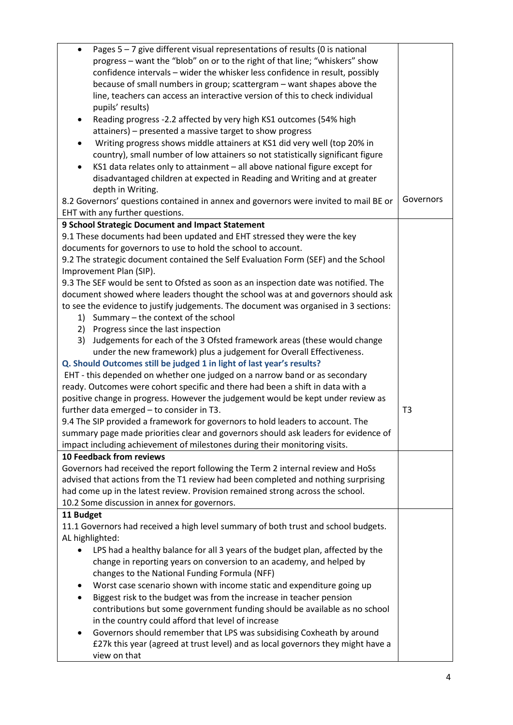| Pages $5 - 7$ give different visual representations of results (0 is national<br>$\bullet$                                  |                |
|-----------------------------------------------------------------------------------------------------------------------------|----------------|
| progress - want the "blob" on or to the right of that line; "whiskers" show                                                 |                |
| confidence intervals - wider the whisker less confidence in result, possibly                                                |                |
| because of small numbers in group; scattergram - want shapes above the                                                      |                |
| line, teachers can access an interactive version of this to check individual                                                |                |
| pupils' results)                                                                                                            |                |
| Reading progress -2.2 affected by very high KS1 outcomes (54% high<br>٠                                                     |                |
| attainers) - presented a massive target to show progress                                                                    |                |
| Writing progress shows middle attainers at KS1 did very well (top 20% in<br>$\bullet$                                       |                |
| country), small number of low attainers so not statistically significant figure                                             |                |
| KS1 data relates only to attainment - all above national figure except for                                                  |                |
| disadvantaged children at expected in Reading and Writing and at greater                                                    |                |
| depth in Writing.                                                                                                           |                |
| 8.2 Governors' questions contained in annex and governors were invited to mail BE or                                        | Governors      |
| EHT with any further questions.                                                                                             |                |
| 9 School Strategic Document and Impact Statement                                                                            |                |
| 9.1 These documents had been updated and EHT stressed they were the key                                                     |                |
| documents for governors to use to hold the school to account.                                                               |                |
| 9.2 The strategic document contained the Self Evaluation Form (SEF) and the School                                          |                |
| Improvement Plan (SIP).                                                                                                     |                |
| 9.3 The SEF would be sent to Ofsted as soon as an inspection date was notified. The                                         |                |
| document showed where leaders thought the school was at and governors should ask                                            |                |
| to see the evidence to justify judgements. The document was organised in 3 sections:                                        |                |
| 1) Summary - the context of the school                                                                                      |                |
| 2) Progress since the last inspection                                                                                       |                |
| Judgements for each of the 3 Ofsted framework areas (these would change<br>3)                                               |                |
| under the new framework) plus a judgement for Overall Effectiveness.                                                        |                |
| Q. Should Outcomes still be judged 1 in light of last year's results?                                                       |                |
| EHT - this depended on whether one judged on a narrow band or as secondary                                                  |                |
| ready. Outcomes were cohort specific and there had been a shift in data with a                                              |                |
| positive change in progress. However the judgement would be kept under review as                                            |                |
| further data emerged - to consider in T3.<br>9.4 The SIP provided a framework for governors to hold leaders to account. The | T <sub>3</sub> |
| summary page made priorities clear and governors should ask leaders for evidence of                                         |                |
| impact including achievement of milestones during their monitoring visits.                                                  |                |
| <b>10 Feedback from reviews</b>                                                                                             |                |
| Governors had received the report following the Term 2 internal review and HoSs                                             |                |
| advised that actions from the T1 review had been completed and nothing surprising                                           |                |
| had come up in the latest review. Provision remained strong across the school.                                              |                |
| 10.2 Some discussion in annex for governors.                                                                                |                |
| 11 Budget                                                                                                                   |                |
| 11.1 Governors had received a high level summary of both trust and school budgets.                                          |                |
| AL highlighted:                                                                                                             |                |
| LPS had a healthy balance for all 3 years of the budget plan, affected by the                                               |                |
| change in reporting years on conversion to an academy, and helped by                                                        |                |
| changes to the National Funding Formula (NFF)                                                                               |                |
| Worst case scenario shown with income static and expenditure going up<br>٠                                                  |                |
| Biggest risk to the budget was from the increase in teacher pension<br>٠                                                    |                |
| contributions but some government funding should be available as no school                                                  |                |
| in the country could afford that level of increase                                                                          |                |
| Governors should remember that LPS was subsidising Coxheath by around                                                       |                |
| £27k this year (agreed at trust level) and as local governors they might have a                                             |                |
| view on that                                                                                                                |                |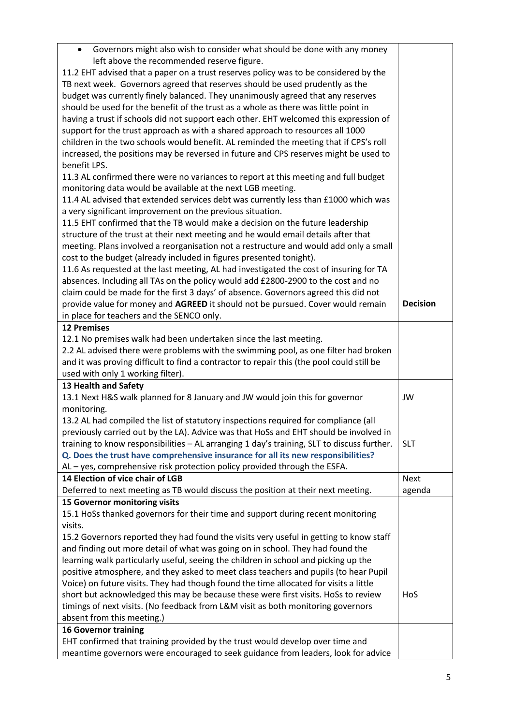| Governors might also wish to consider what should be done with any money<br>$\bullet$<br>left above the recommended reserve figure. |                 |
|-------------------------------------------------------------------------------------------------------------------------------------|-----------------|
| 11.2 EHT advised that a paper on a trust reserves policy was to be considered by the                                                |                 |
|                                                                                                                                     |                 |
| TB next week. Governors agreed that reserves should be used prudently as the                                                        |                 |
| budget was currently finely balanced. They unanimously agreed that any reserves                                                     |                 |
| should be used for the benefit of the trust as a whole as there was little point in                                                 |                 |
| having a trust if schools did not support each other. EHT welcomed this expression of                                               |                 |
| support for the trust approach as with a shared approach to resources all 1000                                                      |                 |
| children in the two schools would benefit. AL reminded the meeting that if CPS's roll                                               |                 |
| increased, the positions may be reversed in future and CPS reserves might be used to                                                |                 |
| benefit LPS.                                                                                                                        |                 |
| 11.3 AL confirmed there were no variances to report at this meeting and full budget                                                 |                 |
| monitoring data would be available at the next LGB meeting.                                                                         |                 |
| 11.4 AL advised that extended services debt was currently less than £1000 which was                                                 |                 |
| a very significant improvement on the previous situation.                                                                           |                 |
| 11.5 EHT confirmed that the TB would make a decision on the future leadership                                                       |                 |
| structure of the trust at their next meeting and he would email details after that                                                  |                 |
| meeting. Plans involved a reorganisation not a restructure and would add only a small                                               |                 |
| cost to the budget (already included in figures presented tonight).                                                                 |                 |
| 11.6 As requested at the last meeting, AL had investigated the cost of insuring for TA                                              |                 |
| absences. Including all TAs on the policy would add £2800-2900 to the cost and no                                                   |                 |
| claim could be made for the first 3 days' of absence. Governors agreed this did not                                                 |                 |
| provide value for money and AGREED it should not be pursued. Cover would remain                                                     | <b>Decision</b> |
|                                                                                                                                     |                 |
| in place for teachers and the SENCO only.<br><b>12 Premises</b>                                                                     |                 |
|                                                                                                                                     |                 |
| 12.1 No premises walk had been undertaken since the last meeting.                                                                   |                 |
| 2.2 AL advised there were problems with the swimming pool, as one filter had broken                                                 |                 |
| and it was proving difficult to find a contractor to repair this (the pool could still be                                           |                 |
| used with only 1 working filter).                                                                                                   |                 |
| 13 Health and Safety                                                                                                                |                 |
| 13.1 Next H&S walk planned for 8 January and JW would join this for governor                                                        | JW              |
| monitoring.                                                                                                                         |                 |
| 13.2 AL had compiled the list of statutory inspections required for compliance (all                                                 |                 |
| previously carried out by the LA). Advice was that HoSs and EHT should be involved in                                               |                 |
| training to know responsibilities - AL arranging 1 day's training, SLT to discuss further.                                          | <b>SLT</b>      |
| Q. Does the trust have comprehensive insurance for all its new responsibilities?                                                    |                 |
| AL - yes, comprehensive risk protection policy provided through the ESFA.                                                           |                 |
| 14 Election of vice chair of LGB                                                                                                    | <b>Next</b>     |
| Deferred to next meeting as TB would discuss the position at their next meeting.                                                    | agenda          |
| 15 Governor monitoring visits                                                                                                       |                 |
| 15.1 HoSs thanked governors for their time and support during recent monitoring                                                     |                 |
| visits.                                                                                                                             |                 |
| 15.2 Governors reported they had found the visits very useful in getting to know staff                                              |                 |
| and finding out more detail of what was going on in school. They had found the                                                      |                 |
| learning walk particularly useful, seeing the children in school and picking up the                                                 |                 |
| positive atmosphere, and they asked to meet class teachers and pupils (to hear Pupil                                                |                 |
| Voice) on future visits. They had though found the time allocated for visits a little                                               |                 |
| short but acknowledged this may be because these were first visits. HoSs to review                                                  | HoS             |
| timings of next visits. (No feedback from L&M visit as both monitoring governors                                                    |                 |
| absent from this meeting.)                                                                                                          |                 |
|                                                                                                                                     |                 |
| <b>16 Governor training</b>                                                                                                         |                 |
| EHT confirmed that training provided by the trust would develop over time and                                                       |                 |
| meantime governors were encouraged to seek guidance from leaders, look for advice                                                   |                 |